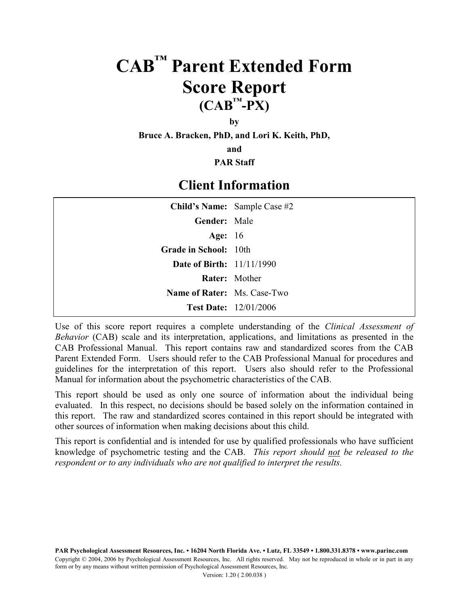# **CAB™ Parent Extended Form Score Report**  $(CAB^T-PX)$

**by**

**Bruce A. Bracken, PhD, and Lori K. Keith, PhD,**

**and**

**PAR Staff**

#### **Client Information**

| Child's Name: Sample Case #2       |
|------------------------------------|
| Gender: Male                       |
| Age: $16$                          |
| Grade in School: 10th              |
| <b>Date of Birth:</b> 11/11/1990   |
| <b>Rater:</b> Mother               |
| <b>Name of Rater:</b> Ms. Case-Two |
| <b>Test Date:</b> 12/01/2006       |
|                                    |

Use of this score report requires a complete understanding of the *Clinical Assessment of Behavior* (CAB) scale and its interpretation, applications, and limitations as presented in the CAB Professional Manual. This report contains raw and standardized scores from the CAB Parent Extended Form. Users should refer to the CAB Professional Manual for procedures and guidelines for the interpretation of this report. Users also should refer to the Professional Manual for information about the psychometric characteristics of the CAB.

This report should be used as only one source of information about the individual being evaluated. In this respect, no decisions should be based solely on the information contained in this report. The raw and standardized scores contained in this report should be integrated with other sources of information when making decisions about this child.

This report is confidential and is intended for use by qualified professionals who have sufficient knowledge of psychometric testing and the CAB. *This report should not be released to the respondent or to any individuals who are not qualified to interpret the results.*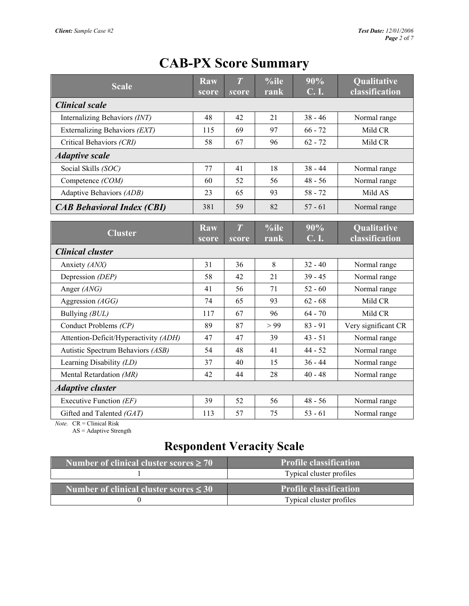| <b>Scale</b>                          | <b>Raw</b><br>score | $\overline{T}$<br>score | %ile<br>rank | 90%<br><b>C.I.</b> | Qualitative<br>classification |  |  |
|---------------------------------------|---------------------|-------------------------|--------------|--------------------|-------------------------------|--|--|
| <b>Clinical scale</b>                 |                     |                         |              |                    |                               |  |  |
| Internalizing Behaviors (INT)         | 48                  | 42                      | 21           | $38 - 46$          | Normal range                  |  |  |
| Externalizing Behaviors (EXT)         | 115                 | 69                      | 97           | $66 - 72$          | Mild CR                       |  |  |
| Critical Behaviors (CRI)              | 58                  | 67                      | 96           | $62 - 72$          | Mild CR                       |  |  |
| <b>Adaptive scale</b>                 |                     |                         |              |                    |                               |  |  |
| Social Skills (SOC)                   | 77                  | 41                      | 18           | $38 - 44$          | Normal range                  |  |  |
| Competence (COM)                      | 60                  | 52                      | 56           | $48 - 56$          | Normal range                  |  |  |
| Adaptive Behaviors (ADB)              | 23                  | 65                      | 93           | $58 - 72$          | Mild AS                       |  |  |
| <b>CAB Behavioral Index (CBI)</b>     | 381                 | 59                      | 82           | $57 - 61$          | Normal range                  |  |  |
| <b>Cluster</b>                        | <b>Raw</b><br>score | $\overline{T}$<br>score | %ile<br>rank | 90%<br><b>C.I.</b> | Qualitative<br>classification |  |  |
| <b>Clinical cluster</b>               |                     |                         |              |                    |                               |  |  |
| Anxiety (ANX)                         | 31                  | 36                      | 8            | $32 - 40$          | Normal range                  |  |  |
| Depression (DEP)                      | 58                  | 42                      | 21           | $39 - 45$          | Normal range                  |  |  |
| Anger (ANG)                           | 41                  | 56                      | 71           | $52 - 60$          | Normal range                  |  |  |
| Aggression (AGG)                      | 74                  | 65                      | 93           | $62 - 68$          | Mild CR                       |  |  |
| Bullying (BUL)                        | 117                 | 67                      | 96           | $64 - 70$          | Mild CR                       |  |  |
| Conduct Problems (CP)                 | 89                  | 87                      | > 99         | $83 - 91$          | Very significant CR           |  |  |
| Attention-Deficit/Hyperactivity (ADH) | 47                  | 47                      | 39           | $43 - 51$          | Normal range                  |  |  |
| Autistic Spectrum Behaviors (ASB)     | 54                  | 48                      | 41           | $44 - 52$          | Normal range                  |  |  |
| Learning Disability (LD)              | 37                  | 40                      | 15           | $36 - 44$          | Normal range                  |  |  |
| Mental Retardation (MR)               | 42                  | 44                      | 28           | $40 - 48$          | Normal range                  |  |  |
| <b>Adaptive cluster</b>               |                     |                         |              |                    |                               |  |  |
| Executive Function (EF)               | 39                  | 52                      | 56           | $48 - 56$          | Normal range                  |  |  |
| Gifted and Talented (GAT)             | 113                 | 57                      | 75           | $53 - 61$          | Normal range                  |  |  |

## **CAB-PX Score Summary**

*Note.* CR = Clinical Risk

AS = Adaptive Strength

### **Respondent Veracity Scale**

| Number of clinical cluster scores $\geq 70$ | <b>Profile classification</b> |
|---------------------------------------------|-------------------------------|
|                                             | Typical cluster profiles      |
| Number of clinical cluster scores $\leq 30$ | <b>Profile classification</b> |
|                                             |                               |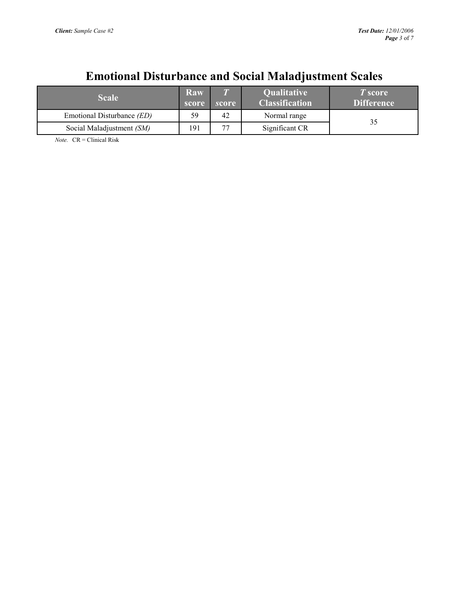## **Emotional Disturbance and Social Maladjustment Scales**

| <b>Scale</b>                      | Raw<br>score | score \ | <b>Qualitative</b><br><b>Classification</b> | T score<br><b>Difference</b> |
|-----------------------------------|--------------|---------|---------------------------------------------|------------------------------|
| Emotional Disturbance <i>(ED)</i> | 59           | 42      | Normal range                                | 35                           |
| Social Maladjustment (SM)         | 191          | 77      | Significant CR                              |                              |

*Note.* CR = Clinical Risk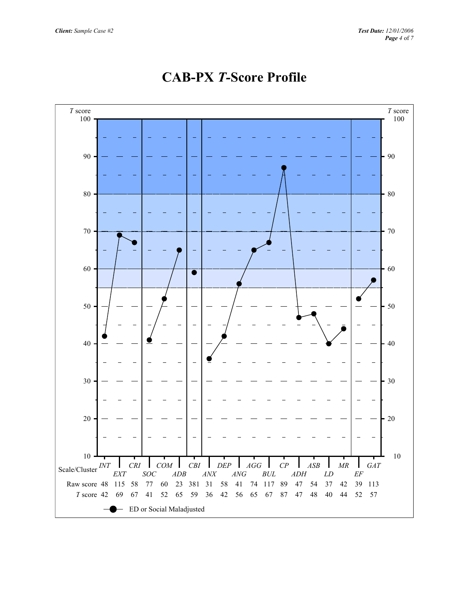

#### **CAB-PX** *T-***Score Profile**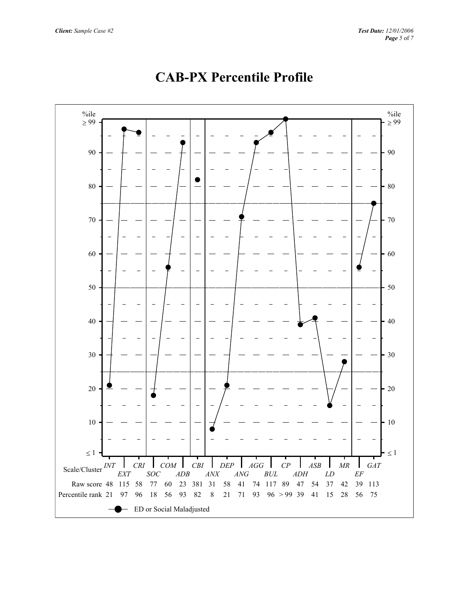![](_page_4_Figure_2.jpeg)

## **CAB-PX Percentile Profile**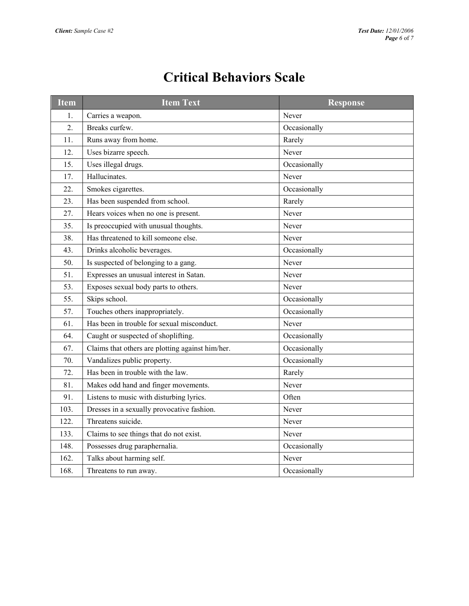| Item | <b>Item Text</b>                                 | <b>Response</b> |
|------|--------------------------------------------------|-----------------|
| 1.   | Carries a weapon.                                | Never           |
| 2.   | Breaks curfew.                                   | Occasionally    |
| 11.  | Runs away from home.                             | Rarely          |
| 12.  | Uses bizarre speech.                             | Never           |
| 15.  | Uses illegal drugs.                              | Occasionally    |
| 17.  | Hallucinates.                                    | Never           |
| 22.  | Smokes cigarettes.                               | Occasionally    |
| 23.  | Has been suspended from school.                  | Rarely          |
| 27.  | Hears voices when no one is present.             | Never           |
| 35.  | Is preoccupied with unusual thoughts.            | Never           |
| 38.  | Has threatened to kill someone else.             | Never           |
| 43.  | Drinks alcoholic beverages.                      | Occasionally    |
| 50.  | Is suspected of belonging to a gang.             | Never           |
| 51.  | Expresses an unusual interest in Satan.          | Never           |
| 53.  | Exposes sexual body parts to others.             | Never           |
| 55.  | Skips school.                                    | Occasionally    |
| 57.  | Touches others inappropriately.                  | Occasionally    |
| 61.  | Has been in trouble for sexual misconduct.       | Never           |
| 64.  | Caught or suspected of shoplifting.              | Occasionally    |
| 67.  | Claims that others are plotting against him/her. | Occasionally    |
| 70.  | Vandalizes public property.                      | Occasionally    |
| 72.  | Has been in trouble with the law.                | Rarely          |
| 81.  | Makes odd hand and finger movements.             | Never           |
| 91.  | Listens to music with disturbing lyrics.         | Often           |
| 103. | Dresses in a sexually provocative fashion.       | Never           |
| 122. | Threatens suicide.                               | Never           |

133. Claims to see things that do not exist.

162. Talks about harming self. Never

148. Possesses drug paraphernalia. Cocasionally

168. Threatens to run away.  $\qquad \qquad$  Occasionally

## **Critical Behaviors Scale**